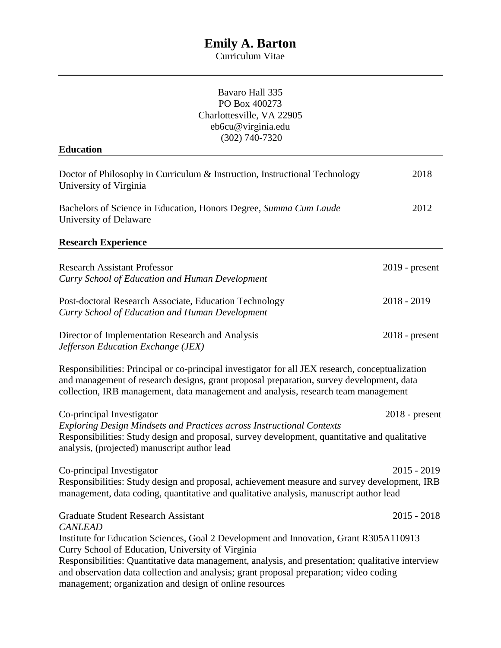Curriculum Vitae

| Bavaro Hall 335<br>PO Box 400273<br>Charlottesville, VA 22905<br>eb6cu@virginia.edu                                                                                                                                                                                                                                                                                                                                     |                  |
|-------------------------------------------------------------------------------------------------------------------------------------------------------------------------------------------------------------------------------------------------------------------------------------------------------------------------------------------------------------------------------------------------------------------------|------------------|
| $(302)$ 740-7320                                                                                                                                                                                                                                                                                                                                                                                                        |                  |
| <b>Education</b>                                                                                                                                                                                                                                                                                                                                                                                                        |                  |
| Doctor of Philosophy in Curriculum & Instruction, Instructional Technology<br>University of Virginia                                                                                                                                                                                                                                                                                                                    | 2018             |
| Bachelors of Science in Education, Honors Degree, Summa Cum Laude<br>University of Delaware                                                                                                                                                                                                                                                                                                                             | 2012             |
| <b>Research Experience</b>                                                                                                                                                                                                                                                                                                                                                                                              |                  |
| <b>Research Assistant Professor</b><br>Curry School of Education and Human Development                                                                                                                                                                                                                                                                                                                                  | $2019$ - present |
| Post-doctoral Research Associate, Education Technology<br>Curry School of Education and Human Development                                                                                                                                                                                                                                                                                                               | $2018 - 2019$    |
| Director of Implementation Research and Analysis<br>Jefferson Education Exchange (JEX)                                                                                                                                                                                                                                                                                                                                  | $2018$ - present |
| Responsibilities: Principal or co-principal investigator for all JEX research, conceptualization<br>and management of research designs, grant proposal preparation, survey development, data<br>collection, IRB management, data management and analysis, research team management                                                                                                                                      |                  |
| Co-principal Investigator<br><b>Exploring Design Mindsets and Practices across Instructional Contexts</b><br>Responsibilities: Study design and proposal, survey development, quantitative and qualitative<br>analysis, (projected) manuscript author lead                                                                                                                                                              | $2018$ - present |
| Co-principal Investigator<br>Responsibilities: Study design and proposal, achievement measure and survey development, IRB<br>management, data coding, quantitative and qualitative analysis, manuscript author lead                                                                                                                                                                                                     | $2015 - 2019$    |
| <b>Graduate Student Research Assistant</b>                                                                                                                                                                                                                                                                                                                                                                              | $2015 - 2018$    |
| <b>CANLEAD</b><br>Institute for Education Sciences, Goal 2 Development and Innovation, Grant R305A110913<br>Curry School of Education, University of Virginia<br>Responsibilities: Quantitative data management, analysis, and presentation; qualitative interview<br>and observation data collection and analysis; grant proposal preparation; video coding<br>management; organization and design of online resources |                  |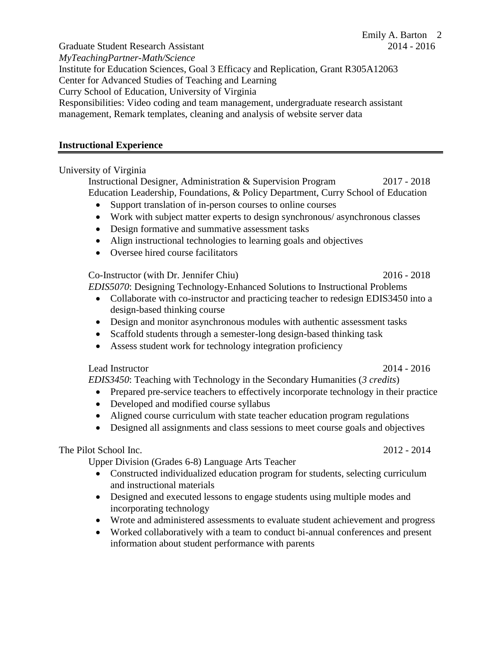Graduate Student Research Assistant 2014 - 2016 *MyTeachingPartner-Math/Science* Institute for Education Sciences, Goal 3 Efficacy and Replication, Grant R305A12063 Center for Advanced Studies of Teaching and Learning Curry School of Education, University of Virginia Responsibilities: Video coding and team management, undergraduate research assistant management, Remark templates, cleaning and analysis of website server data

## **Instructional Experience**

# University of Virginia

Instructional Designer, Administration & Supervision Program 2017 - 2018 Education Leadership, Foundations, & Policy Department, Curry School of Education

- Support translation of in-person courses to online courses
- Work with subject matter experts to design synchronous/ asynchronous classes
- Design formative and summative assessment tasks
- Align instructional technologies to learning goals and objectives
- Oversee hired course facilitators

Co-Instructor (with Dr. Jennifer Chiu) 2016 - 2018

*EDIS5070*: Designing Technology-Enhanced Solutions to Instructional Problems

- Collaborate with co-instructor and practicing teacher to redesign EDIS3450 into a design-based thinking course
- Design and monitor asynchronous modules with authentic assessment tasks
- Scaffold students through a semester-long design-based thinking task
- Assess student work for technology integration proficiency

Lead Instructor 2014 - 2016

*EDIS3450*: Teaching with Technology in the Secondary Humanities (*3 credits*)

- Prepared pre-service teachers to effectively incorporate technology in their practice
- Developed and modified course syllabus
- Aligned course curriculum with state teacher education program regulations
- Designed all assignments and class sessions to meet course goals and objectives

# The Pilot School Inc. 2012 - 2014

Upper Division (Grades 6-8) Language Arts Teacher

- Constructed individualized education program for students, selecting curriculum and instructional materials
- Designed and executed lessons to engage students using multiple modes and incorporating technology
- Wrote and administered assessments to evaluate student achievement and progress
- Worked collaboratively with a team to conduct bi-annual conferences and present information about student performance with parents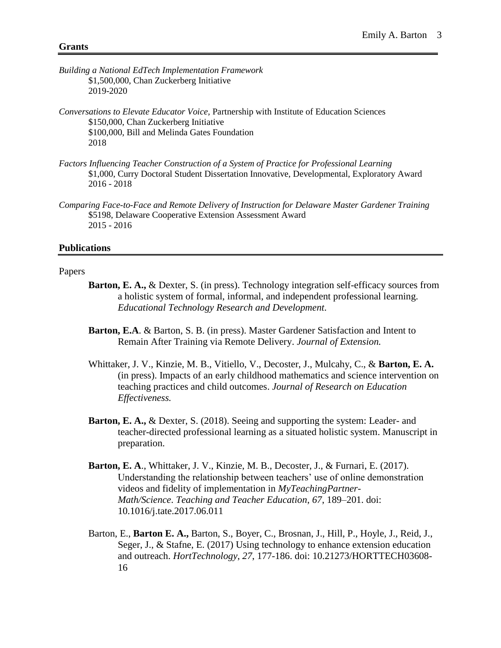- *Building a National EdTech Implementation Framework* \$1,500,000, Chan Zuckerberg Initiative 2019-2020
- *Conversations to Elevate Educator Voice,* Partnership with Institute of Education Sciences \$150,000, Chan Zuckerberg Initiative \$100,000, Bill and Melinda Gates Foundation 2018
- *Factors Influencing Teacher Construction of a System of Practice for Professional Learning* \$1,000, Curry Doctoral Student Dissertation Innovative, Developmental, Exploratory Award 2016 - 2018
- *Comparing Face-to-Face and Remote Delivery of Instruction for Delaware Master Gardener Training*  \$5198, Delaware Cooperative Extension Assessment Award 2015 - 2016

### **Publications**

#### Papers

- **Barton, E. A., & Dexter, S. (in press). Technology integration self-efficacy sources from** a holistic system of formal, informal, and independent professional learning. *Educational Technology Research and Development.*
- **Barton, E.A**. & Barton, S. B. (in press). Master Gardener Satisfaction and Intent to Remain After Training via Remote Delivery. *Journal of Extension.*
- Whittaker, J. V., Kinzie, M. B., Vitiello, V., Decoster, J., Mulcahy, C., & **Barton, E. A.** (in press). Impacts of an early childhood mathematics and science intervention on teaching practices and child outcomes. *Journal of Research on Education Effectiveness.*
- **Barton, E. A.,** & Dexter, S. (2018). Seeing and supporting the system: Leader- and teacher-directed professional learning as a situated holistic system. Manuscript in preparation.
- **Barton, E. A**., Whittaker, J. V., Kinzie, M. B., Decoster, J., & Furnari, E. (2017). Understanding the relationship between teachers' use of online demonstration videos and fidelity of implementation in *MyTeachingPartner-Math/Science*. *Teaching and Teacher Education*, *67*, 189–201. doi: 10.1016/j.tate.2017.06.011
- Barton, E., **Barton E. A.,** Barton, S., Boyer, C., Brosnan, J., Hill, P., Hoyle, J., Reid, J., Seger, J., & Stafne, E. (2017) Using technology to enhance extension education and outreach. *HortTechnology*, *27*, 177-186. doi: 10.21273/HORTTECH03608- 16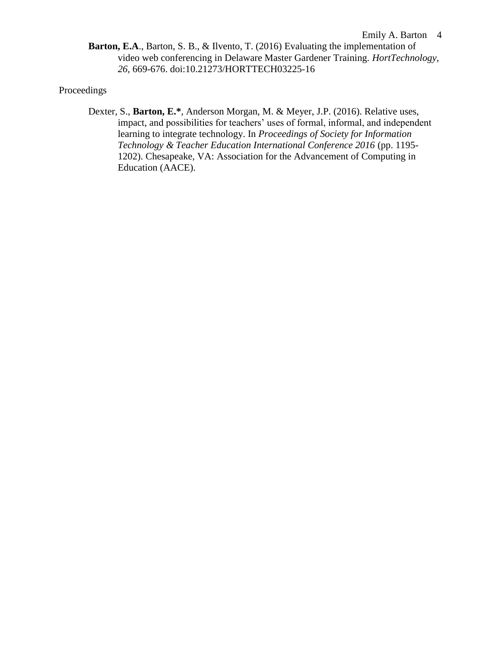**Barton, E.A**., Barton, S. B., & Ilvento, T. (2016) Evaluating the implementation of video web conferencing in Delaware Master Gardener Training. *HortTechnology*, *26,* 669-676. doi:10.21273/HORTTECH03225-16

## Proceedings

Dexter, S., **Barton, E.\***, Anderson Morgan, M. & Meyer, J.P. (2016). Relative uses, impact, and possibilities for teachers' uses of formal, informal, and independent learning to integrate technology. In *Proceedings of Society for Information Technology & Teacher Education International Conference 2016* (pp. 1195- 1202). Chesapeake, VA: Association for the Advancement of Computing in Education (AACE).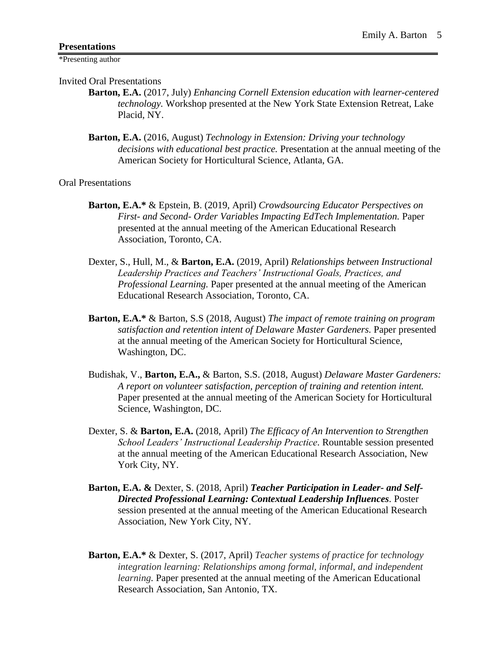\*Presenting author

Invited Oral Presentations

- **Barton, E.A.** (2017, July) *Enhancing Cornell Extension education with learner-centered technology.* Workshop presented at the New York State Extension Retreat, Lake Placid, NY.
- **Barton, E.A.** (2016, August) *Technology in Extension: Driving your technology decisions with educational best practice.* Presentation at the annual meeting of the American Society for Horticultural Science, Atlanta, GA.

Oral Presentations

- **Barton, E.A.\*** & Epstein, B. (2019, April) *Crowdsourcing Educator Perspectives on First- and Second- Order Variables Impacting EdTech Implementation.* Paper presented at the annual meeting of the American Educational Research Association, Toronto, CA.
- Dexter, S., Hull, M., & **Barton, E.A.** (2019, April) *Relationships between Instructional Leadership Practices and Teachers' Instructional Goals, Practices, and Professional Learning.* Paper presented at the annual meeting of the American Educational Research Association, Toronto, CA.
- **Barton, E.A.\*** & Barton, S.S (2018, August) *The impact of remote training on program satisfaction and retention intent of Delaware Master Gardeners.* Paper presented at the annual meeting of the American Society for Horticultural Science, Washington, DC.
- Budishak, V., **Barton, E.A.,** & Barton, S.S. (2018, August) *Delaware Master Gardeners: A report on volunteer satisfaction, perception of training and retention intent.* Paper presented at the annual meeting of the American Society for Horticultural Science, Washington, DC.
- Dexter, S. & **Barton, E.A.** (2018, April) *The Efficacy of An Intervention to Strengthen School Leaders' Instructional Leadership Practice.* Rountable session presented at the annual meeting of the American Educational Research Association, New York City, NY.
- **Barton, E.A. &** Dexter, S. (2018, April) *Teacher Participation in Leader- and Self-Directed Professional Learning: Contextual Leadership Influences.* Poster session presented at the annual meeting of the American Educational Research Association, New York City, NY.
- **Barton, E.A.\*** & Dexter, S. (2017, April) *Teacher systems of practice for technology integration learning: Relationships among formal, informal, and independent learning.* Paper presented at the annual meeting of the American Educational Research Association, San Antonio, TX.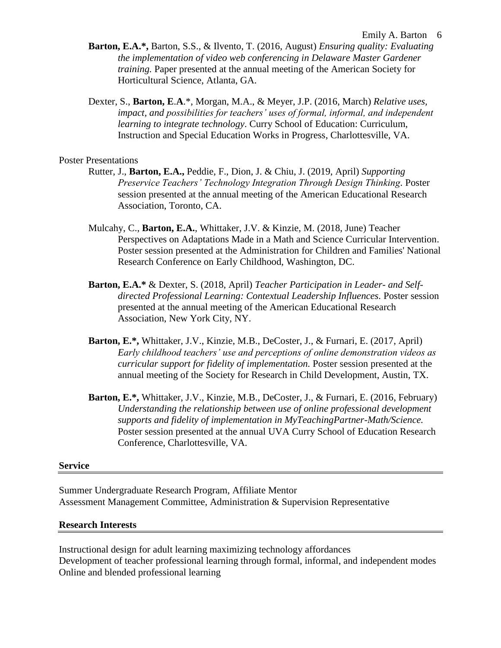- **Barton, E.A.\*,** Barton, S.S., & Ilvento, T. (2016, August) *Ensuring quality: Evaluating the implementation of video web conferencing in Delaware Master Gardener training.* Paper presented at the annual meeting of the American Society for Horticultural Science, Atlanta, GA.
- Dexter, S., **Barton, E**.**A**.\*, Morgan, M.A., & Meyer, J.P. (2016, March) *Relative uses, impact, and possibilities for teachers' uses of formal, informal, and independent learning to integrate technology*. Curry School of Education: Curriculum, Instruction and Special Education Works in Progress, Charlottesville, VA.

#### Poster Presentations

- Rutter, J., **Barton, E.A.,** Peddie, F., Dion, J. & Chiu, J. (2019, April) *Supporting Preservice Teachers' Technology Integration Through Design Thinking.* Poster session presented at the annual meeting of the American Educational Research Association, Toronto, CA.
- Mulcahy, C., **Barton, E.A.**, Whittaker, J.V. & Kinzie, M. (2018, June) Teacher Perspectives on Adaptations Made in a Math and Science Curricular Intervention. Poster session presented at the Administration for Children and Families' National Research Conference on Early Childhood, Washington, DC.
- **Barton, E.A.\*** & Dexter, S. (2018, April) *Teacher Participation in Leader- and Selfdirected Professional Learning: Contextual Leadership Influences.* Poster session presented at the annual meeting of the American Educational Research Association, New York City, NY.
- **Barton, E.\*,** Whittaker, J.V., Kinzie, M.B., DeCoster, J., & Furnari, E. (2017, April) *Early childhood teachers' use and perceptions of online demonstration videos as curricular support for fidelity of implementation.* Poster session presented at the annual meeting of the Society for Research in Child Development, Austin, TX.
- **Barton, E.\*,** Whittaker, J.V., Kinzie, M.B., DeCoster, J., & Furnari, E. (2016, February) *Understanding the relationship between use of online professional development supports and fidelity of implementation in MyTeachingPartner-Math/Science.*  Poster session presented at the annual UVA Curry School of Education Research Conference, Charlottesville, VA.

#### **Service**

Summer Undergraduate Research Program, Affiliate Mentor Assessment Management Committee, Administration & Supervision Representative

#### **Research Interests**

Instructional design for adult learning maximizing technology affordances Development of teacher professional learning through formal, informal, and independent modes Online and blended professional learning